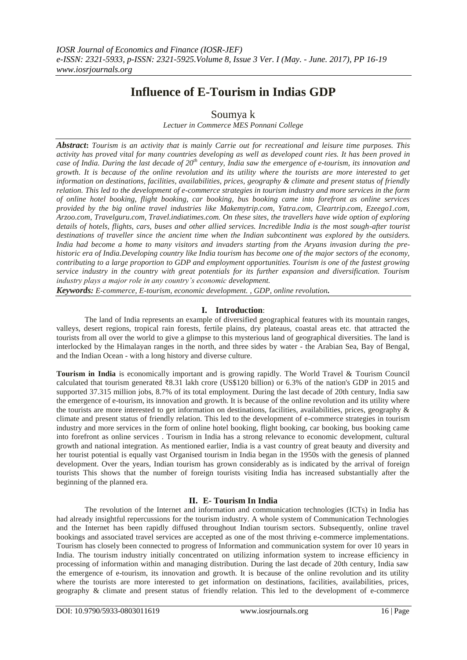# **Influence of E-Tourism in Indias GDP**

# Soumya k

*Lectuer in Commerce MES Ponnani College*

*Abstract***:** *Tourism is an activity that is mainly Carrie out for recreational and leisure time purposes. This activity has proved vital for many countries developing as well as developed count ries. It has been proved in case of India. During the last decade of 20th century, India saw the emergence of e-tourism, its innovation and growth. It is because of the online revolution and its utility where the tourists are more interested to get information on destinations, facilities, availabilities, prices, geography & climate and present status of friendly relation. This led to the development of e-commerce strategies in tourism industry and more services in the form of online hotel booking, flight booking, car booking, bus booking came into forefront as online services provided by the big online travel industries like Makemytrip.com, Yatra.com, Cleartrip.com, Ezeego1.com, Arzoo.com, Travelguru.com, Travel.indiatimes.com. On these sites, the travellers have wide option of exploring details of hotels, flights, cars, buses and other allied services. Incredible India is the most sough-after tourist destinations of traveller since the ancient time when the Indian subcontinent was explored by the outsiders. India had become a home to many visitors and invaders starting from the Aryans invasion during the prehistoric era of India.Developing country like India tourism has become one of the major sectors of the economy, contributing to a large proportion to GDP and employment opportunities. Tourism is one of the fastest growing service industry in the country with great potentials for its further expansion and diversification. Tourism industry plays a major role in any country's economic development.*

*Keywords: E-commerce, E-tourism, economic development. , GDP, online revolution.*

# **I. Introduction**:

The land of India represents an example of diversified geographical features with its mountain ranges, valleys, desert regions, tropical rain forests, fertile plains, dry plateaus, coastal areas etc. that attracted the tourists from all over the world to give a glimpse to this mysterious land of geographical diversities. The land is interlocked by the Himalayan ranges in the north, and three sides by water - the Arabian Sea, Bay of Bengal, and the Indian Ocean - with a long history and diverse culture.

**Tourism in India** is economically important and is growing rapidly. The World Travel & Tourism Council calculated that tourism generated ₹8.31 lakh crore (US\$120 billion) or 6.3% of the nation's GDP in 2015 and supported 37.315 million jobs, 8.7% of its total employment. During the last decade of 20th century, India saw the emergence of e-tourism, its innovation and growth. It is because of the online revolution and its utility where the tourists are more interested to get information on destinations, facilities, availabilities, prices, geography & climate and present status of friendly relation. This led to the development of e-commerce strategies in tourism industry and more services in the form of online hotel booking, flight booking, car booking, bus booking came into forefront as online services . Tourism in India has a strong relevance to economic development, cultural growth and national integration. As mentioned earlier, India is a vast country of great beauty and diversity and her tourist potential is equally vast Organised tourism in India began in the 1950s with the genesis of planned development. Over the years, Indian tourism has grown considerably as is indicated by the arrival of foreign tourists This shows that the number of foreign tourists visiting India has increased substantially after the beginning of the planned era.

# **II. E- Tourism In India**

The revolution of the Internet and information and communication technologies (ICTs) in India has had already insightful repercussions for the tourism industry. A whole system of Communication Technologies and the Internet has been rapidly diffused throughout Indian tourism sectors. Subsequently, online travel bookings and associated travel services are accepted as one of the most thriving e-commerce implementations. Tourism has closely been connected to progress of Information and communication system for over 10 years in India. The tourism industry initially concentrated on utilizing information system to increase efficiency in processing of information within and managing distribution. During the last decade of 20th century, India saw the emergence of e-tourism, its innovation and growth. It is because of the online revolution and its utility where the tourists are more interested to get information on destinations, facilities, availabilities, prices, geography & climate and present status of friendly relation. This led to the development of e-commerce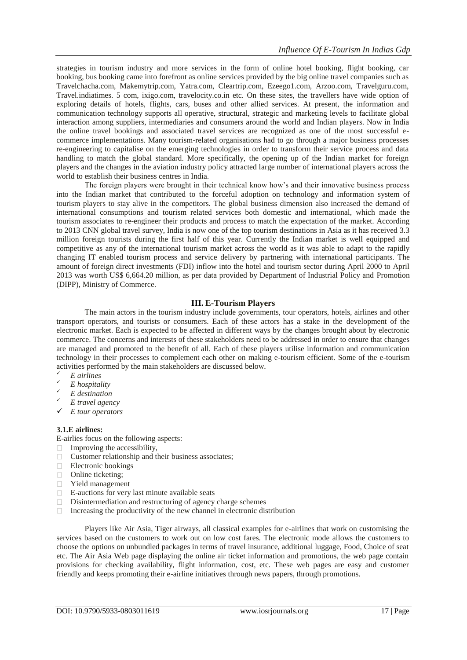strategies in tourism industry and more services in the form of online hotel booking, flight booking, car booking, bus booking came into forefront as online services provided by the big online travel companies such as Travelchacha.com, Makemytrip.com, Yatra.com, Cleartrip.com, Ezeego1.com, Arzoo.com, Travelguru.com, Travel.indiatimes. 5 com, ixigo.com, travelocity.co.in etc. On these sites, the travellers have wide option of exploring details of hotels, flights, cars, buses and other allied services. At present, the information and communication technology supports all operative, structural, strategic and marketing levels to facilitate global interaction among suppliers, intermediaries and consumers around the world and Indian players. Now in India the online travel bookings and associated travel services are recognized as one of the most successful ecommerce implementations. Many tourism-related organisations had to go through a major business processes re-engineering to capitalise on the emerging technologies in order to transform their service process and data handling to match the global standard. More specifically, the opening up of the Indian market for foreign players and the changes in the aviation industry policy attracted large number of international players across the world to establish their business centres in India.

The foreign players were brought in their technical know how's and their innovative business process into the Indian market that contributed to the forceful adoption on technology and information system of tourism players to stay alive in the competitors. The global business dimension also increased the demand of international consumptions and tourism related services both domestic and international, which made the tourism associates to re-engineer their products and process to match the expectation of the market. According to 2013 CNN global travel survey, India is now one of the top tourism destinations in Asia as it has received 3.3 million foreign tourists during the first half of this year. Currently the Indian market is well equipped and competitive as any of the international tourism market across the world as it was able to adapt to the rapidly changing IT enabled tourism process and service delivery by partnering with international participants. The amount of foreign direct investments (FDI) inflow into the hotel and tourism sector during April 2000 to April 2013 was worth US\$ 6,664.20 million, as per data provided by Department of Industrial Policy and Promotion (DIPP), Ministry of Commerce.

#### **III. E-Tourism Players**

The main actors in the tourism industry include governments, tour operators, hotels, airlines and other transport operators, and tourists or consumers. Each of these actors has a stake in the development of the electronic market. Each is expected to be affected in different ways by the changes brought about by electronic commerce. The concerns and interests of these stakeholders need to be addressed in order to ensure that changes are managed and promoted to the benefit of all. Each of these players utilise information and communication technology in their processes to complement each other on making e-tourism efficient. Some of the e-tourism activities performed by the main stakeholders are discussed below.

- *E airlines*
- *E hospitality*
- *E destination*
- *E travel agency*
- *E tour operators*

### **3.1.E airlines:**

E-airlies focus on the following aspects:

- $\Box$  Improving the accessibility,
- Customer relationship and their business associates;
- Electronic bookings
- Online ticketing;
- Yield management
- E-auctions for very last minute available seats
- Disintermediation and restructuring of agency charge schemes
- $\Box$  Increasing the productivity of the new channel in electronic distribution

Players like Air Asia, Tiger airways, all classical examples for e-airlines that work on customising the services based on the customers to work out on low cost fares. The electronic mode allows the customers to choose the options on unbundled packages in terms of travel insurance, additional luggage, Food, Choice of seat etc. The Air Asia Web page displaying the online air ticket information and promotions, the web page contain provisions for checking availability, flight information, cost, etc. These web pages are easy and customer friendly and keeps promoting their e-airline initiatives through news papers, through promotions.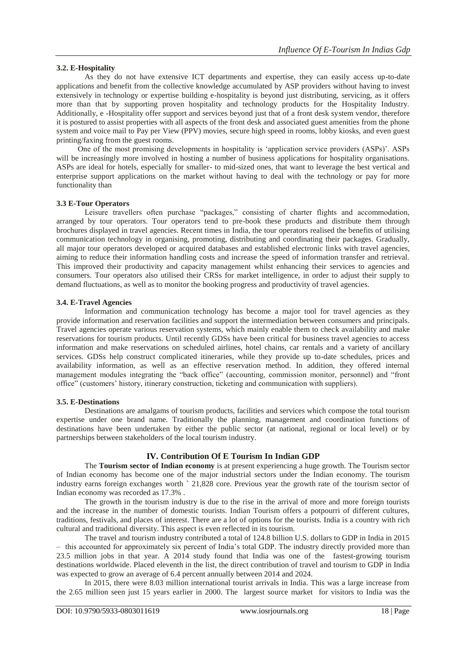# **3.2. E-Hospitality**

As they do not have extensive ICT departments and expertise, they can easily access up-to-date applications and benefit from the collective knowledge accumulated by ASP providers without having to invest extensively in technology or expertise building e-hospitality is beyond just distributing, servicing, as it offers more than that by supporting proven hospitality and technology products for the Hospitality Industry. Additionally, e -Hospitality offer support and services beyond just that of a front desk system vendor, therefore it is postured to assist properties with all aspects of the front desk and associated guest amenities from the phone system and voice mail to Pay per View (PPV) movies, secure high speed in rooms, lobby kiosks, and even guest printing/faxing from the guest rooms.

One of the most promising developments in hospitality is 'application service providers (ASPs)'. ASPs will be increasingly more involved in hosting a number of business applications for hospitality organisations. ASPs are ideal for hotels, especially for smaller- to mid-sized ones, that want to leverage the best vertical and enterprise support applications on the market without having to deal with the technology or pay for more functionality than

#### **3.3 E-Tour Operators**

Leisure travellers often purchase "packages," consisting of charter flights and accommodation, arranged by tour operators. Tour operators tend to pre-book these products and distribute them through brochures displayed in travel agencies. Recent times in India, the tour operators realised the benefits of utilising communication technology in organising, promoting, distributing and coordinating their packages. Gradually, all major tour operators developed or acquired databases and established electronic links with travel agencies, aiming to reduce their information handling costs and increase the speed of information transfer and retrieval. This improved their productivity and capacity management whilst enhancing their services to agencies and consumers. Tour operators also utilised their CRSs for market intelligence, in order to adjust their supply to demand fluctuations, as well as to monitor the booking progress and productivity of travel agencies.

## **3.4. E-Travel Agencies**

Information and communication technology has become a major tool for travel agencies as they provide information and reservation facilities and support the intermediation between consumers and principals. Travel agencies operate various reservation systems, which mainly enable them to check availability and make reservations for tourism products. Until recently GDSs have been critical for business travel agencies to access information and make reservations on scheduled airlines, hotel chains, car rentals and a variety of ancillary services. GDSs help construct complicated itineraries, while they provide up to-date schedules, prices and availability information, as well as an effective reservation method. In addition, they offered internal management modules integrating the "back office" (accounting, commission monitor, personnel) and "front office" (customers' history, itinerary construction, ticketing and communication with suppliers).

#### **3.5. E-Destinations**

Destinations are amalgams of tourism products, facilities and services which compose the total tourism expertise under one brand name. Traditionally the planning, management and coordination functions of destinations have been undertaken by either the public sector (at national, regional or local level) or by partnerships between stakeholders of the local tourism industry.

# **IV. Contribution Of E Tourism In Indian GDP**

The **Tourism sector of Indian economy** is at present experiencing a huge growth. The Tourism sector of Indian economy has become one of the major industrial sectors under the Indian economy. The tourism industry earns foreign exchanges worth **`** 21,828 core. Previous year the growth rate of the tourism sector of Indian economy was recorded as 17.3% .

The growth in the tourism industry is due to the rise in the arrival of more and more foreign tourists and the increase in the number of domestic tourists. Indian Tourism offers a potpourri of different cultures, traditions, festivals, and places of interest. There are a lot of options for the tourists. India is a country with rich cultural and traditional diversity. This aspect is even reflected in its tourism.

The travel and tourism industry contributed a total of 124.8 billion U.S. dollars to GDP in India in 2015 – [this accounted for approximately six percent of India's total GDP.](https://www.statista.com/statistics/263771/gross-domestic-product-gdp-in-india/) The industry directly provided more than 23.5 million jobs in that year. A 2014 study found that India was one of the [fastest-growing tourism](https://www.statista.com/statistics/303381/fastest-emerging-tourism-destinations-worldwide/)  [destinations worldwide.](https://www.statista.com/statistics/303381/fastest-emerging-tourism-destinations-worldwide/) Placed eleventh in the list, the direct contribution of travel and tourism to GDP in India was expected to grow an average of 6.4 percent annually between 2014 and 2024.

In 2015, there were 8.03 million international tourist arrivals in India. This was a large increase from the 2.65 million seen just 15 years earlier in 2000. The [largest source market for visitors to India](https://www.statista.com/statistics/207005/foreign-tourist-arrivals-in-india-in-2010--by-source-country/) was the